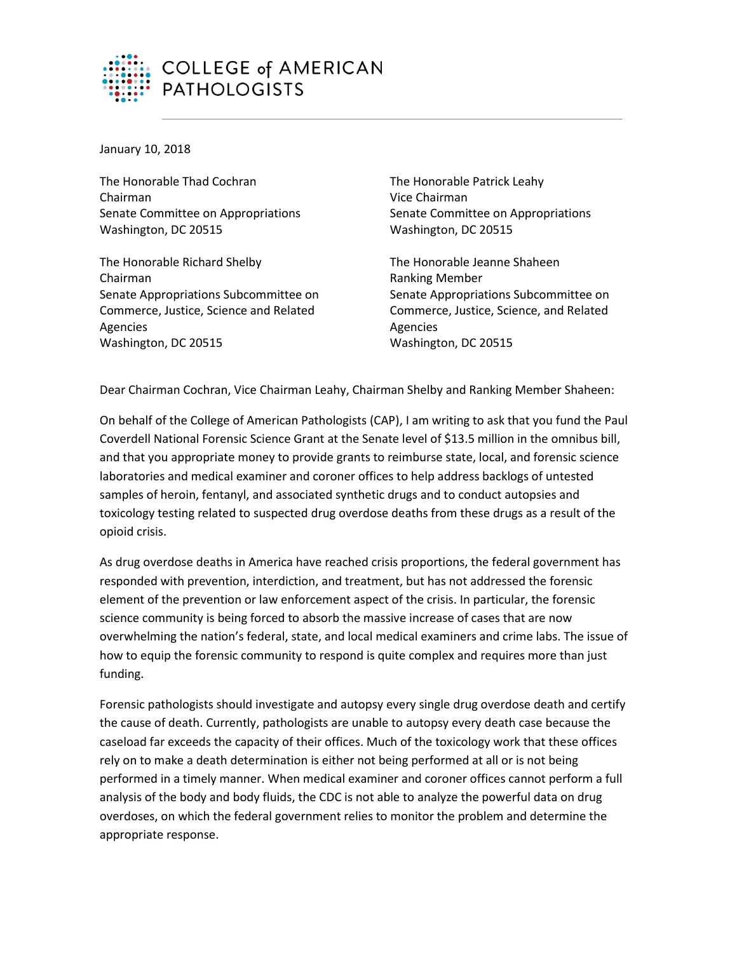

January 10, 2018

The Honorable Thad Cochran Chairman Senate Committee on Appropriations Washington, DC 20515

The Honorable Richard Shelby Chairman Senate Appropriations Subcommittee on Commerce, Justice, Science and Related Agencies Washington, DC 20515

The Honorable Patrick Leahy Vice Chairman Senate Committee on Appropriations Washington, DC 20515

The Honorable Jeanne Shaheen Ranking Member Senate Appropriations Subcommittee on Commerce, Justice, Science, and Related Agencies Washington, DC 20515

Dear Chairman Cochran, Vice Chairman Leahy, Chairman Shelby and Ranking Member Shaheen:

On behalf of the College of American Pathologists (CAP), I am writing to ask that you fund the Paul Coverdell National Forensic Science Grant at the Senate level of \$13.5 million in the omnibus bill, and that you appropriate money to provide grants to reimburse state, local, and forensic science laboratories and medical examiner and coroner offices to help address backlogs of untested samples of heroin, fentanyl, and associated synthetic drugs and to conduct autopsies and toxicology testing related to suspected drug overdose deaths from these drugs as a result of the opioid crisis.

As drug overdose deaths in America have reached crisis proportions, the federal government has responded with prevention, interdiction, and treatment, but has not addressed the forensic element of the prevention or law enforcement aspect of the crisis. In particular, the forensic science community is being forced to absorb the massive increase of cases that are now overwhelming the nation's federal, state, and local medical examiners and crime labs. The issue of how to equip the forensic community to respond is quite complex and requires more than just funding.

Forensic pathologists should investigate and autopsy every single drug overdose death and certify the cause of death. Currently, pathologists are unable to autopsy every death case because the caseload far exceeds the capacity of their offices. Much of the toxicology work that these offices rely on to make a death determination is either not being performed at all or is not being performed in a timely manner. When medical examiner and coroner offices cannot perform a full analysis of the body and body fluids, the CDC is not able to analyze the powerful data on drug overdoses, on which the federal government relies to monitor the problem and determine the appropriate response.